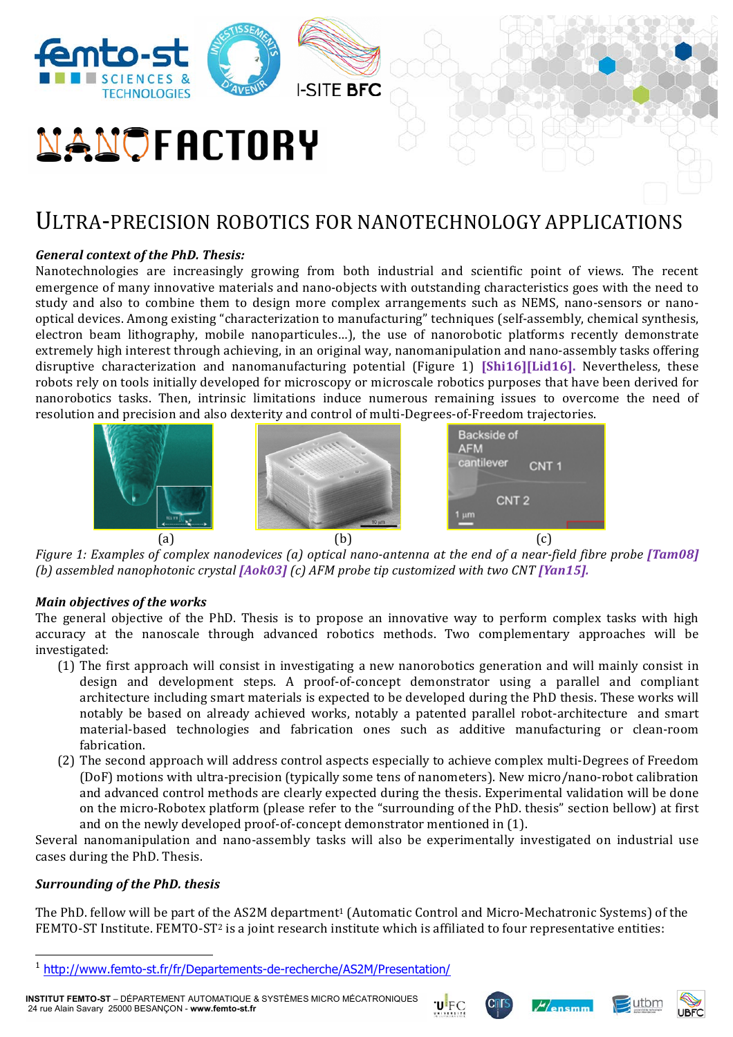

# **NANOFACTORY**

# ULTRA-PRECISION ROBOTICS FOR NANOTECHNOLOGY APPLICATIONS

# *General context of the PhD. Thesis:*

Nanotechnologies are increasingly growing from both industrial and scientific point of views. The recent emergence of many innovative materials and nano-objects with outstanding characteristics goes with the need to study and also to combine them to design more complex arrangements such as NEMS, nano-sensors or nanooptical devices. Among existing "characterization to manufacturing" techniques (self-assembly, chemical synthesis, electron beam lithography, mobile nanoparticules...), the use of nanorobotic platforms recently demonstrate extremely high interest through achieving, in an original way, nanomanipulation and nano-assembly tasks offering disruptive characterization and nanomanufacturing potential (Figure 1) **[Shi16][Lid16]**. Nevertheless, these robots rely on tools initially developed for microscopy or microscale robotics purposes that have been derived for nanorobotics tasks. Then, intrinsic limitations induce numerous remaining issues to overcome the need of resolution and precision and also dexterity and control of multi-Degrees-of-Freedom trajectories.



*Figure 1: Examples of complex nanodevices* (a) optical nano-antenna at the end of a near-field fibre probe [Tam08] *(b)* assembled nanophotonic crystal [Aok03] *(c)* AFM probe tip customized with two CNT [Yan15].

## *Main objectives of the works*

The general objective of the PhD. Thesis is to propose an innovative way to perform complex tasks with high accuracy at the nanoscale through advanced robotics methods. Two complementary approaches will be investigated:

- (1) The first approach will consist in investigating a new nanorobotics generation and will mainly consist in design and development steps. A proof-of-concept demonstrator using a parallel and compliant architecture including smart materials is expected to be developed during the PhD thesis. These works will notably be based on already achieved works, notably a patented parallel robot-architecture and smart material-based technologies and fabrication ones such as additive manufacturing or clean-room fabrication.
- (2) The second approach will address control aspects especially to achieve complex multi-Degrees of Freedom (DoF) motions with ultra-precision (typically some tens of nanometers). New micro/nano-robot calibration and advanced control methods are clearly expected during the thesis. Experimental validation will be done on the micro-Robotex platform (please refer to the "surrounding of the PhD. thesis" section bellow) at first and on the newly developed proof-of-concept demonstrator mentioned in (1).

Several nanomanipulation and nano-assembly tasks will also be experimentally investigated on industrial use cases during the PhD. Thesis.

## *Surrounding of the PhD. thesis*

The PhD. fellow will be part of the AS2M department<sup>1</sup> (Automatic Control and Micro-Mechatronic Systems) of the FEMTO-ST Institute. FEMTO-ST<sup>2</sup> is a joint research institute which is affiliated to four representative entities:









 $\overline{a}$ <sup>1</sup> http://www.femto-st.fr/fr/Departements-de-recherche/AS2M/Presentation/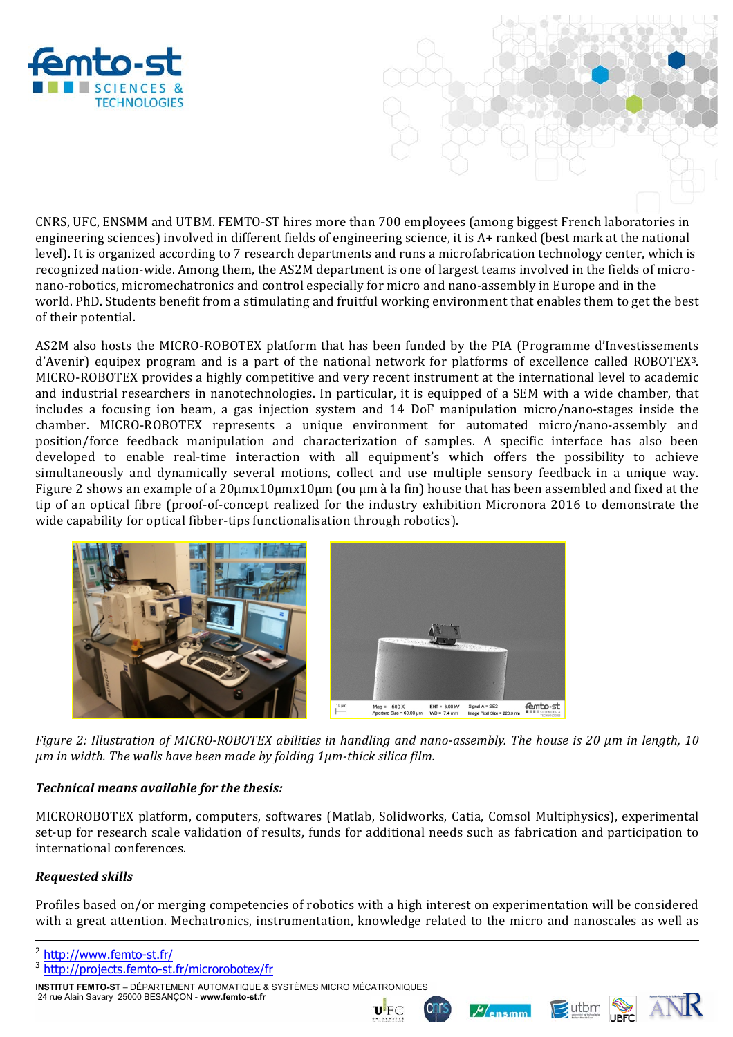

CNRS, UFC, ENSMM and UTBM. FEMTO-ST hires more than 700 employees (among biggest French laboratories in engineering sciences) involved in different fields of engineering science, it is A+ ranked (best mark at the national level). It is organized according to 7 research departments and runs a microfabrication technology center, which is recognized nation-wide. Among them, the AS2M department is one of largest teams involved in the fields of micronano-robotics, micromechatronics and control especially for micro and nano-assembly in Europe and in the world. PhD. Students benefit from a stimulating and fruitful working environment that enables them to get the best of their potential.

AS2M also hosts the MICRO-ROBOTEX platform that has been funded by the PIA (Programme d'Investissements d'Avenir) equipex program and is a part of the national network for platforms of excellence called ROBOTEX3. MICRO-ROBOTEX provides a highly competitive and very recent instrument at the international level to academic and industrial researchers in nanotechnologies. In particular, it is equipped of a SEM with a wide chamber, that includes a focusing ion beam, a gas injection system and 14 DoF manipulation micro/nano-stages inside the chamber. MICRO-ROBOTEX represents a unique environment for automated micro/nano-assembly and position/force feedback manipulation and characterization of samples. A specific interface has also been developed to enable real-time interaction with all equipment's which offers the possibility to achieve simultaneously and dynamically several motions, collect and use multiple sensory feedback in a unique way. Figure 2 shows an example of a  $20\mu$ mx10 $\mu$ mx10 $\mu$ m (ou  $\mu$ m à la fin) house that has been assembled and fixed at the tip of an optical fibre (proof-of-concept realized for the industry exhibition Micronora 2016 to demonstrate the wide capability for optical fibber-tips functionalisation through robotics).



*Figure 2: Illustration of MICRO-ROBOTEX abilities in handling and nano-assembly. The house is 20 µm in length, 10 um* in width. The walls have been made by folding 1um-thick silica film.

# *Technical means available for the thesis:*

MICROROBOTEX platform, computers, softwares (Matlab, Solidworks, Catia, Comsol Multiphysics), experimental set-up for research scale validation of results, funds for additional needs such as fabrication and participation to international conferences.

# *Requested skills*

-

Profiles based on/or merging competencies of robotics with a high interest on experimentation will be considered with a great attention. Mechatronics, instrumentation, knowledge related to the micro and nanoscales as well as

- <sup>2</sup> http://www.femto-st.fr/
- <sup>3</sup> http://projects.femto-st.fr/microrobotex/fr

**INSTITUT FEMTO-ST** – DÉPARTEMENT AUTOMATIQUE & SYSTÈMES MICRO MÉCATRONIQUES 24 rue Alain Savary 25000 BESANÇON - **www.femto-st.fr**





 $M$ ensmm